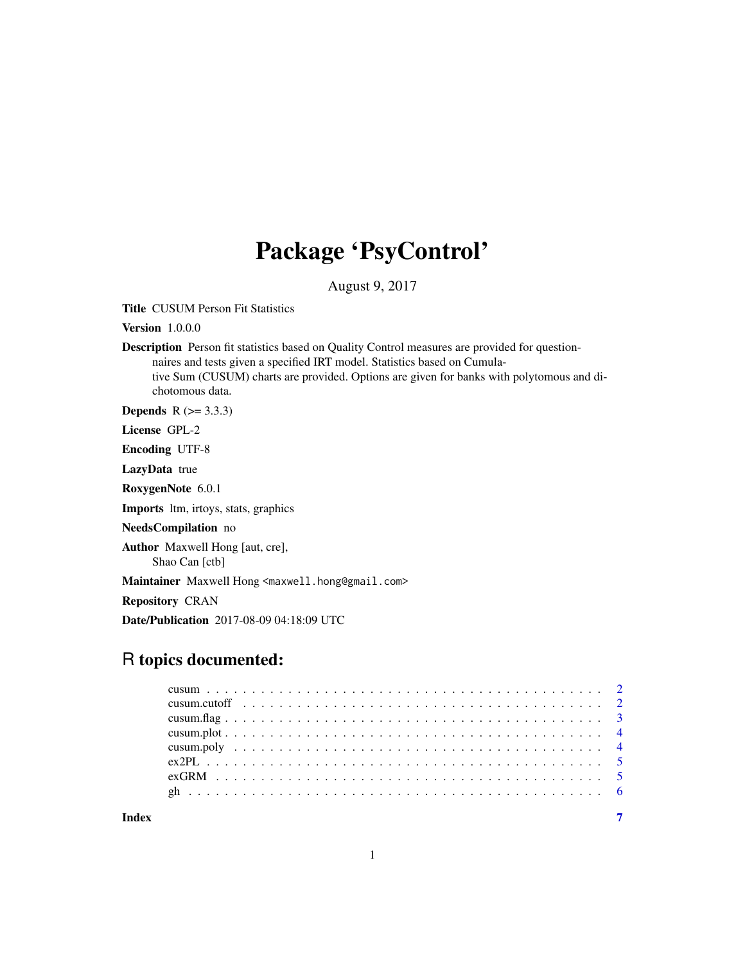# Package 'PsyControl'

August 9, 2017

Title CUSUM Person Fit Statistics

Version 1.0.0.0

Description Person fit statistics based on Quality Control measures are provided for questionnaires and tests given a specified IRT model. Statistics based on Cumulative Sum (CUSUM) charts are provided. Options are given for banks with polytomous and dichotomous data.

**Depends** R  $(>= 3.3.3)$ 

License GPL-2

Encoding UTF-8

LazyData true

RoxygenNote 6.0.1

Imports ltm, irtoys, stats, graphics

NeedsCompilation no

Author Maxwell Hong [aut, cre],

Shao Can [ctb]

Maintainer Maxwell Hong <maxwell.hong@gmail.com>

Repository CRAN

Date/Publication 2017-08-09 04:18:09 UTC

# R topics documented:

**Index** [7](#page-6-0) **7**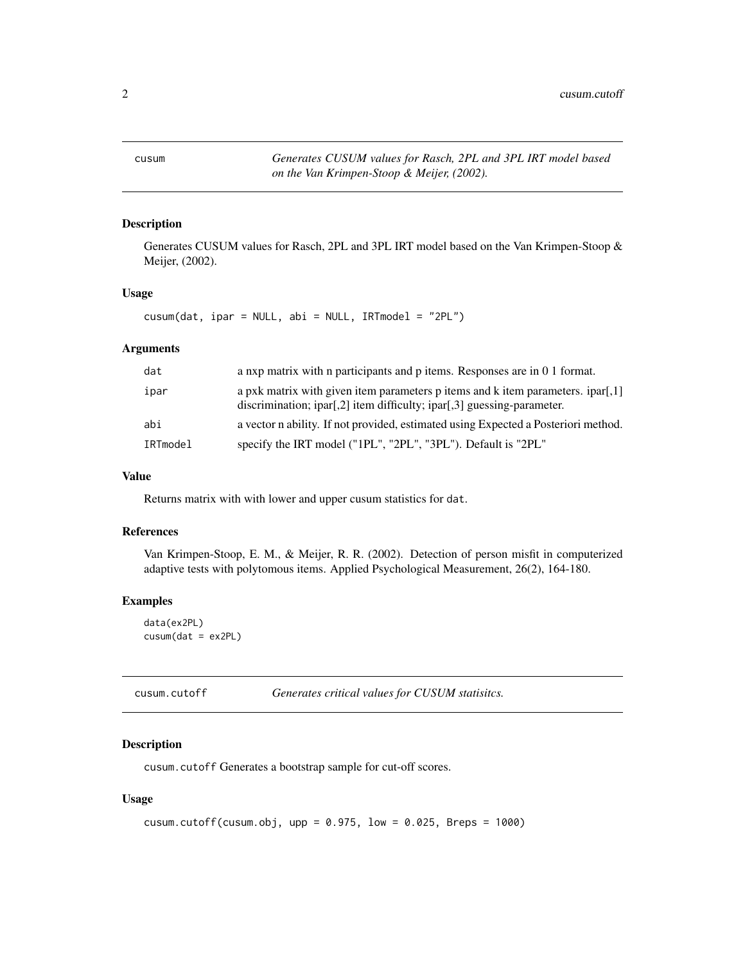<span id="page-1-0"></span>cusum *Generates CUSUM values for Rasch, 2PL and 3PL IRT model based on the Van Krimpen-Stoop & Meijer, (2002).*

#### Description

Generates CUSUM values for Rasch, 2PL and 3PL IRT model based on the Van Krimpen-Stoop & Meijer, (2002).

# Usage

 $cusum(data, ipar = NULL, abi = NULL, IRTmodel = "2PL")$ 

# Arguments

| dat      | a nxp matrix with n participants and p items. Responses are in 0 1 format.                                                                                    |
|----------|---------------------------------------------------------------------------------------------------------------------------------------------------------------|
| ipar     | a pxk matrix with given item parameters $p$ items and $k$ item parameters. ipar[,1]<br>discrimination; ipar[,2] item difficulty; ipar[,3] guessing-parameter. |
| abi      | a vector n ability. If not provided, estimated using Expected a Posteriori method.                                                                            |
| IRTmodel | specify the IRT model ("1PL", "2PL", "3PL"). Default is "2PL"                                                                                                 |

### Value

Returns matrix with with lower and upper cusum statistics for dat.

#### References

Van Krimpen-Stoop, E. M., & Meijer, R. R. (2002). Detection of person misfit in computerized adaptive tests with polytomous items. Applied Psychological Measurement, 26(2), 164-180.

#### Examples

```
data(ex2PL)
cusum(dat = ex2PL)
```
cusum.cutoff *Generates critical values for CUSUM statisitcs.*

#### Description

cusum.cutoff Generates a bootstrap sample for cut-off scores.

#### Usage

```
cusum.cutoff(cusum.obj, upp = 0.975, low = 0.025, Breps = 1000)
```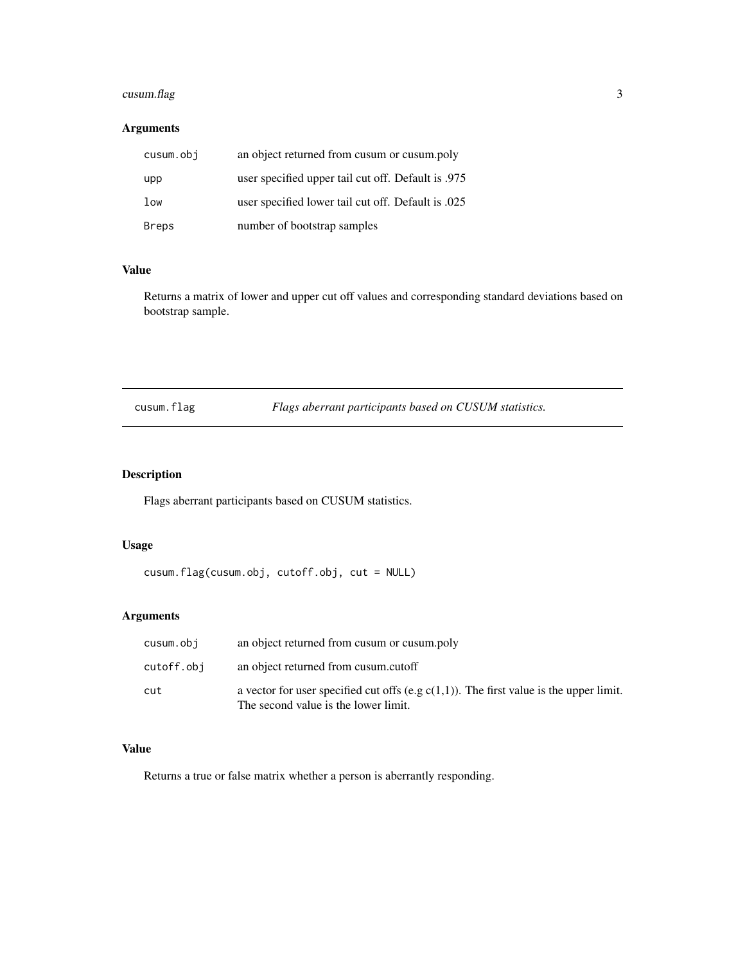# <span id="page-2-0"></span>cusum.flag 3

# Arguments

| cusum.obj | an object returned from cusum or cusum.poly        |
|-----------|----------------------------------------------------|
| upp       | 175. user specified upper tail cut off. Default is |
| low       | user specified lower tail cut off. Default is .025 |
| Breps     | number of bootstrap samples                        |

### Value

Returns a matrix of lower and upper cut off values and corresponding standard deviations based on bootstrap sample.

cusum.flag *Flags aberrant participants based on CUSUM statistics.*

# Description

Flags aberrant participants based on CUSUM statistics.

# Usage

```
cusum.flag(cusum.obj, cutoff.obj, cut = NULL)
```
# Arguments

| cusum.obi  | an object returned from cusum or cusum.poly                                                                                       |
|------------|-----------------------------------------------------------------------------------------------------------------------------------|
| cutoff.obi | an object returned from cusum.cutoff                                                                                              |
| cut        | a vector for user specified cut offs (e.g $c(1,1)$ ). The first value is the upper limit.<br>The second value is the lower limit. |

#### Value

Returns a true or false matrix whether a person is aberrantly responding.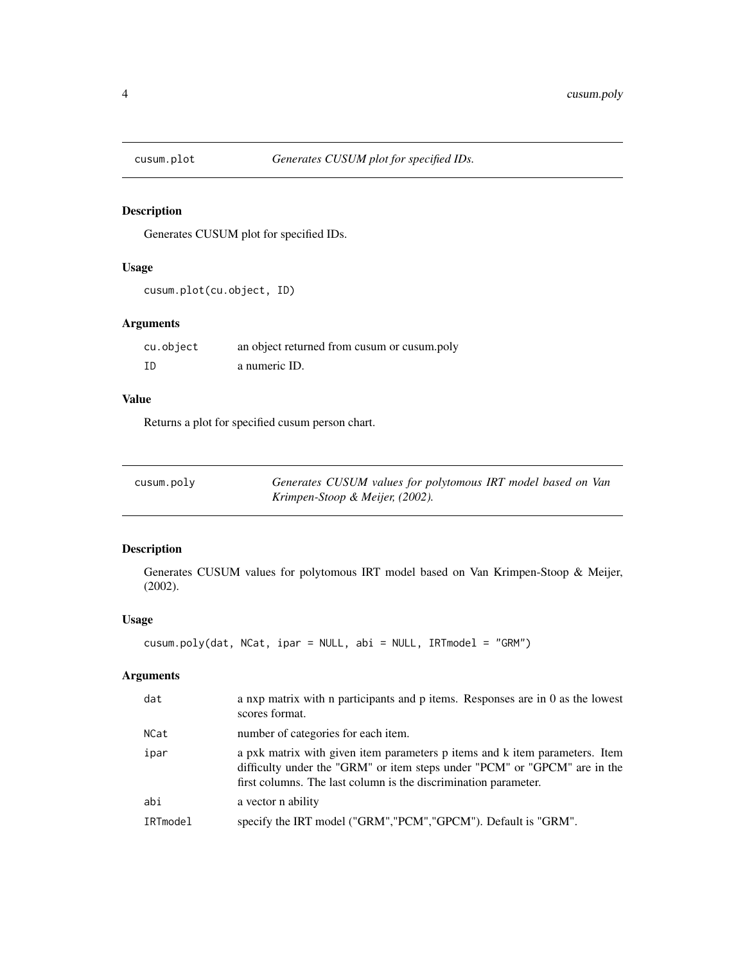<span id="page-3-0"></span>

# Description

Generates CUSUM plot for specified IDs.

# Usage

```
cusum.plot(cu.object, ID)
```
# Arguments

| cu.object | an object returned from cusum or cusum.poly |
|-----------|---------------------------------------------|
| ΙD        | a numeric ID.                               |

# Value

Returns a plot for specified cusum person chart.

| cusum.poly | Generates CUSUM values for polytomous IRT model based on Van |
|------------|--------------------------------------------------------------|
|            | Krimpen-Stoop & Meijer, (2002).                              |

# Description

Generates CUSUM values for polytomous IRT model based on Van Krimpen-Stoop & Meijer, (2002).

# Usage

```
cusum.poly(dat, NCat, ipar = NULL, abi = NULL, IRTmodel = "GRM")
```
# Arguments

| dat      | a nxp matrix with n participants and $p$ items. Responses are in $0$ as the lowest<br>scores format.                                                                                                                        |
|----------|-----------------------------------------------------------------------------------------------------------------------------------------------------------------------------------------------------------------------------|
| NCat     | number of categories for each item.                                                                                                                                                                                         |
| ipar     | a pxk matrix with given item parameters p items and k item parameters. Item<br>difficulty under the "GRM" or item steps under "PCM" or "GPCM" are in the<br>first columns. The last column is the discrimination parameter. |
| abi      | a vector n ability                                                                                                                                                                                                          |
| IRTmodel | specify the IRT model ("GRM","PCM","GPCM"). Default is "GRM".                                                                                                                                                               |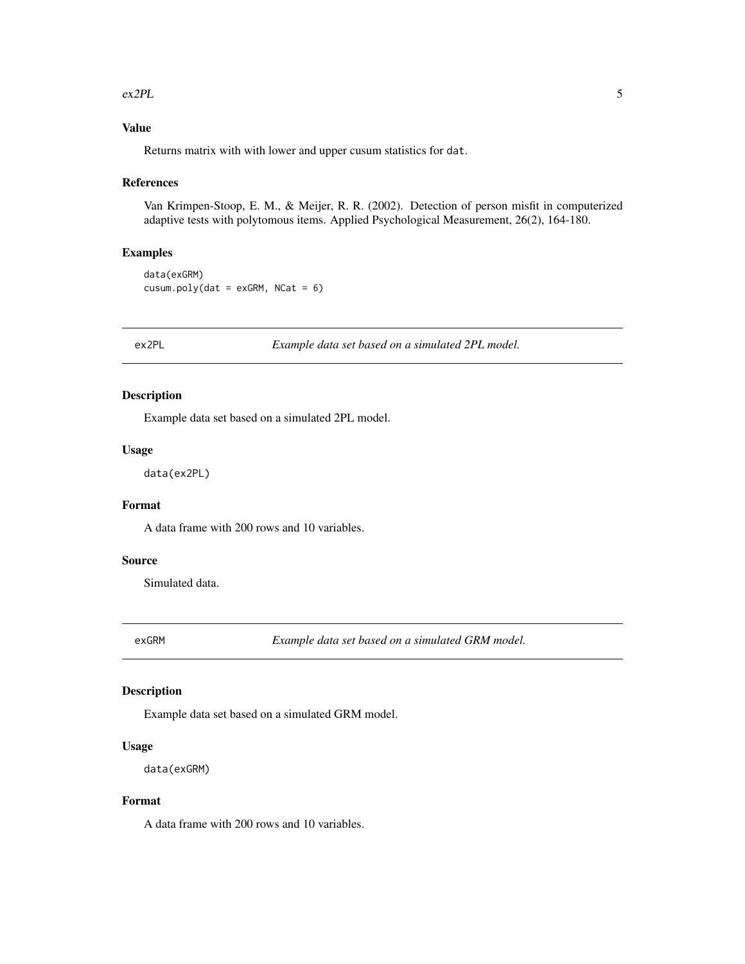#### <span id="page-4-0"></span> $ex2PL$  5

# Value

Returns matrix with with lower and upper cusum statistics for dat.

#### References

Van Krimpen-Stoop, E. M., & Meijer, R. R. (2002). Detection of person misfit in computerized adaptive tests with polytomous items. Applied Psychological Measurement, 26(2), 164-180.

#### Examples

data(exGRM)  $cusum.poly(data = exGRM, NCat = 6)$ 

ex2PL *Example data set based on a simulated 2PL model.*

# Description

Example data set based on a simulated 2PL model.

# Usage

data(ex2PL)

# Format

A data frame with 200 rows and 10 variables.

# Source

Simulated data.

exGRM *Example data set based on a simulated GRM model.*

# Description

Example data set based on a simulated GRM model.

#### Usage

data(exGRM)

# Format

A data frame with 200 rows and 10 variables.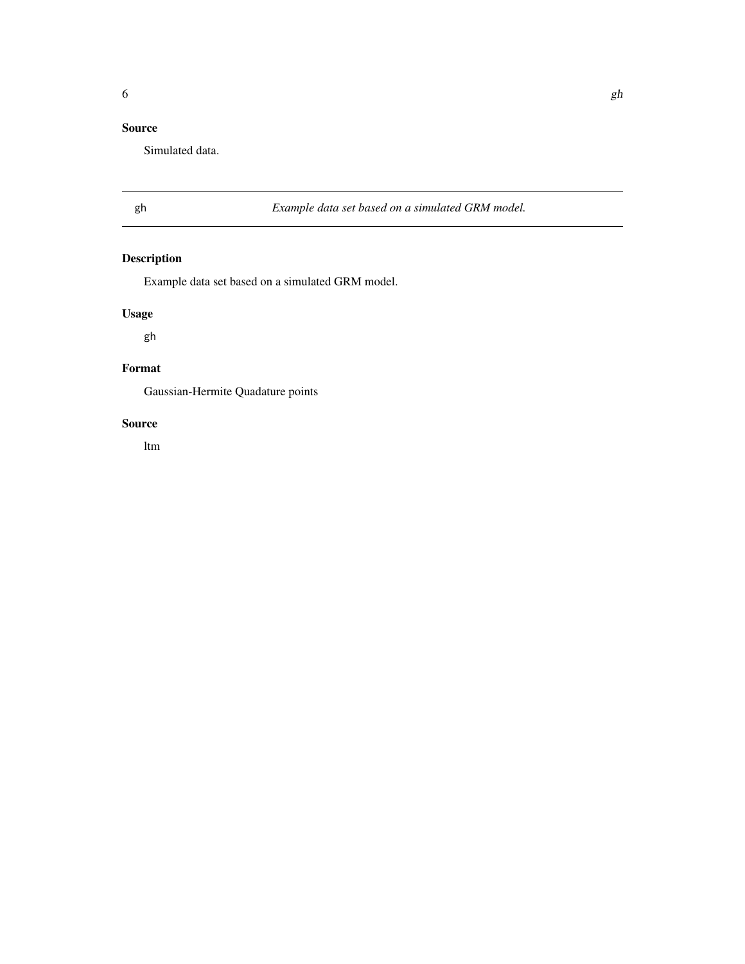# <span id="page-5-0"></span>Source

Simulated data.

# gh *Example data set based on a simulated GRM model.*

# Description

Example data set based on a simulated GRM model.

# Usage

gh

# Format

Gaussian-Hermite Quadature points

#### Source

ltm